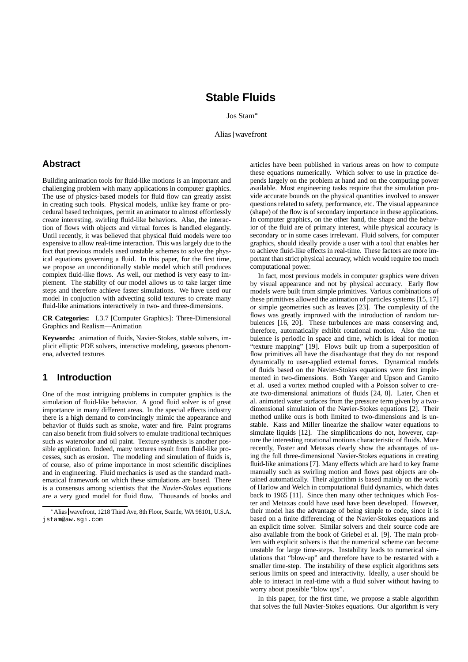# **Stable Fluids**

Jos Stam

Alias wavefront

### **Abstract**

Building animation tools for fluid-like motions is an important and challenging problem with many applications in computer graphics. The use of physics-based models for fluid flow can greatly assist in creating such tools. Physical models, unlike key frame or procedural based techniques, permit an animator to almost effortlessly create interesting, swirling fluid-like behaviors. Also, the interaction of flows with objects and virtual forces is handled elegantly. Until recently, it was believed that physical fluid models were too expensive to allow real-time interaction. This was largely due to the fact that previous models used unstable schemes to solve the physical equations governing a fluid. In this paper, for the first time, we propose an unconditionally stable model which still produces complex fluid-like flows. As well, our method is very easy to implement. The stability of our model allows us to take larger time steps and therefore achieve faster simulations. We have used our model in conjuction with advecting solid textures to create many fluid-like animations interactively in two- and three-dimensions.

**CR Categories:** I.3.7 [Computer Graphics]: Three-Dimensional Graphics and Realism—Animation

**Keywords:** animation of fluids, Navier-Stokes, stable solvers, implicit elliptic PDE solvers, interactive modeling, gaseous phenomena, advected textures

# **1 Introduction**

One of the most intriguing problems in computer graphics is the simulation of fluid-like behavior. A good fluid solver is of great importance in many different areas. In the special effects industry there is a high demand to convincingly mimic the appearance and behavior of fluids such as smoke, water and fire. Paint programs can also benefit from fluid solvers to emulate traditional techniques such as watercolor and oil paint. Texture synthesis is another possible application. Indeed, many textures result from fluid-like processes, such as erosion. The modeling and simulation of fluids is, of course, also of prime importance in most scientific disciplines and in engineering. Fluid mechanics is used as the standard mathematical framework on which these simulations are based. There is a consensus among scientists that the *Navier-Stokes* equations are a very good model for fluid flow. Thousands of books and articles have been published in various areas on how to compute these equations numerically. Which solver to use in practice depends largely on the problem at hand and on the computing power available. Most engineering tasks require that the simulation provide accurate bounds on the physical quantities involved to answer questions related to safety, performance, etc. The visual appearance (shape) of the flow is of secondary importance in these applications. In computer graphics, on the other hand, the shape and the behavior of the fluid are of primary interest, while physical accuracy is secondary or in some cases irrelevant. Fluid solvers, for computer graphics, should ideally provide a user with a tool that enables her to achieve fluid-like effects in real-time. These factors are more important than strict physical accuracy, which would require too much computational power.

In fact, most previous models in computer graphics were driven by visual appearance and not by physical accuracy. Early flow models were built from simple primitives. Various combinations of these primitives allowed the animation of particles systems [15, 17] or simple geometries such as leaves [23]. The complexity of the flows was greatly improved with the introduction of random turbulences [16, 20]. These turbulences are mass conserving and, therefore, automatically exhibit rotational motion. Also the turbulence is periodic in space and time, which is ideal for motion "texture mapping" [19]. Flows built up from a superposition of flow primitives all have the disadvantage that they do not respond dynamically to user-applied external forces. Dynamical models of fluids based on the Navier-Stokes equations were first implemented in two-dimensions. Both Yaeger and Upson and Gamito et al. used a vortex method coupled with a Poisson solver to create two-dimensional animations of fluids [24, 8]. Later, Chen et al. animated water surfaces from the pressure term given by a twodimensional simulation of the Navier-Stokes equations [2]. Their method unlike ours is both limited to two-dimensions and is unstable. Kass and Miller linearize the shallow water equations to simulate liquids [12]. The simplifications do not, however, capture the interesting rotational motions characteristic of fluids. More recently, Foster and Metaxas clearly show the advantages of using the full three-dimensional Navier-Stokes equations in creating fluid-like animations [7]. Many effects which are hard to key frame manually such as swirling motion and flows past objects are obtained automatically. Their algorithm is based mainly on the work of Harlow and Welch in computational fluid dynamics, which dates back to 1965 [11]. Since then many other techniques which Foster and Metaxas could have used have been developed. However, their model has the advantage of being simple to code, since it is based on a finite differencing of the Navier-Stokes equations and an explicit time solver. Similar solvers and their source code are also available from the book of Griebel et al. [9]. The main problem with explicit solvers is that the numerical scheme can become unstable for large time-steps. Instability leads to numerical simulations that "blow-up" and therefore have to be restarted with a smaller time-step. The instability of these explicit algorithms sets serious limits on speed and interactivity. Ideally, a user should be able to interact in real-time with a fluid solver without having to worry about possible "blow ups".

In this paper, for the first time, we propose a stable algorithm that solves the full Navier-Stokes equations. Our algorithm is very

Alias wavefront, 1218 Third Ave, 8th Floor, Seattle, WA 98101, U.S.A. jstam@aw.sgi.com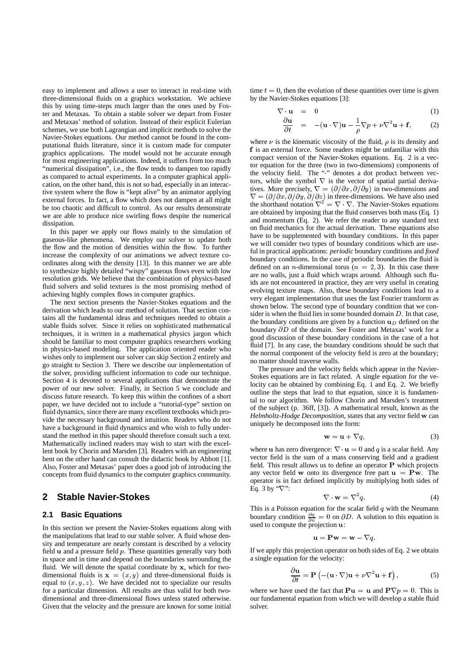easy to implement and allows a user to interact in real-time with three-dimensional fluids on a graphics workstation. We achieve this by using time-steps much larger than the ones used by Foster and Metaxas. To obtain a stable solver we depart from Foster and Metaxas' method of solution. Instead of their explicit Eulerian schemes, we use both Lagrangian and implicit methods to solve the Navier-Stokes equations. Our method cannot be found in the computational fluids literature, since it is custom made for computer graphics applications. The model would not be accurate enough for most engineering applications. Indeed, it suffers from too much "numerical dissipation", i.e., the flow tends to dampen too rapidly as compared to actual experiments. In a computer graphical application, on the other hand, this is not so bad, especially in an interactive system where the flow is "kept alive" by an animator applying external forces. In fact, a flow which does not dampen at all might be too chaotic and difficult to control. As our results demonstrate we are able to produce nice swirling flows despite the numerical dissipation

In this paper we apply our flows mainly to the simulation of gaseous-like phenomena. We employ our solver to update both the flow and the motion of densities within the flow. To further increase the complexity of our animations we advect texture coordinates along with the density [13]. In this manner we are able to synthesize highly detailed "wispy" gaseous flows even with low resolution grids. We believe that the combination of physics-based fluid solvers and solid textures is the most promising method of achieving highly complex flows in computer graphics.

The next section presents the Navier-Stokes equations and the derivation which leads to our method of solution. That section contains all the fundamental ideas and techniques needed to obtain a stable fluids solver. Since it relies on sophisticated mathematical techniques, it is written in a mathematical physics jargon which should be familiar to most computer graphics researchers working in physics-based modeling. The application oriented reader who wishes only to implement our solver can skip Section 2 entirely and go straight to Section 3. There we describe our implementation of the solver, providing sufficient information to code our technique. Section 4 is devoted to several applications that demonstrate the power of our new solver. Finally, in Section 5 we conclude and discuss future research. To keep this within the confines of a short paper, we have decided not to include a "tutorial-type" section on fluid dynamics, since there are many excellent textbooks which provide the necessary background and intuition. Readers who do not have a background in fluid dynamics and who wish to fully understand the method in this paper should therefore consult such a text. Mathematically inclined readers may wish to start with the excellent book by Chorin and Marsden [3]. Readers with an engineering bent on the other hand can consult the didactic book by Abbott [1]. Also, Foster and Metaxas' paper does a good job of introducing the concepts from fluid dynamics to the computer graphics community.

# **2 Stable Navier-Stokes**

#### **2.1 Basic Equations**

In this section we present the Navier-Stokes equations along with the manipulations that lead to our stable solver. A fluid whose density and temperature are nearly constant is described by a velocity field  $\bf{u}$  and a pressure field  $p$ . These quantities generally vary both in space and in time and depend on the boundaries surrounding the fluid. We will denote the spatial coordinate by x, which for twodimensional fluids is  $x = (x, y)$  and three-dimensional fluids is equal to  $(x, y, z)$ . We have decided not to specialize our results for a particular dimension. All results are thus valid for both twodimensional and three-dimensional flows unless stated otherwise. Given that the velocity and the pressure are known for some initial

time  $t = 0$ , then the evolution of these quantities over time is given by the Navier-Stokes equations [3]:

$$
\nabla \cdot \mathbf{u} = 0 \tag{1}
$$

$$
\frac{\partial \mathbf{u}}{\partial t} = -(\mathbf{u} \cdot \nabla)\mathbf{u} - \frac{1}{\rho} \nabla p + \nu \nabla^2 \mathbf{u} + \mathbf{f}, \quad (2)
$$

where  $\nu$  is the kinematic viscosity of the fluid,  $\rho$  is its density and f is an external force. Some readers might be unfamiliar with this compact version of the Navier-Stokes equations. Eq. 2 is a vector equation for the three (two in two-dimensions) components of the velocity field. The " " denotes a dot product between vectors, while the symbol  $\nabla$  is the vector of spatial partial derivatives. More precisely,  $\nabla = (\partial/\partial x, \partial/\partial y)$  in two-dimensions and  $\nabla = (\partial/\partial x, \partial/\partial y, \partial/\partial z)$  in three-dimensions. We have also used the shorthand notation  $\nabla^2 = \nabla \cdot \nabla$ . The Navier-Stokes equations are obtained by imposing that the fluid conserves both mass (Eq. 1) and momentum (Eq. 2). We refer the reader to any standard text on fluid mechanics for the actual derivation. These equations also have to be supplemented with boundary conditions. In this paper we will consider two types of boundary conditions which are useful in practical applications: *periodic* boundary conditions and *fixed* boundary conditions. In the case of periodic boundaries the fluid is defined on an *n*-dimensional torus ( $n = 2, 3$ ). In this case there are no walls, just a fluid which wraps around. Although such fluids are not encountered in practice, they are very useful in creating evolving texture maps. Also, these boundary conditions lead to a very elegant implementation that uses the fast Fourier transform as shown below. The second type of boundary condition that we consider is when the fluid lies in some bounded domain  $D$ . In that case, the boundary conditions are given by a function  $\mathbf{u}_D$  defined on the boundary  $\partial D$  of the domain. See Foster and Metaxas' work for a good discussion of these boundary conditions in the case of a hot fluid [7]. In any case, the boundary conditions should be such that the normal component of the velocity field is zero at the boundary; no matter should traverse walls.

The pressure and the velocity fields which appear in the Navier-Stokes equations are in fact related. A single equation for the velocity can be obtained by combining Eq. 1 and Eq. 2. We briefly outline the steps that lead to that equation, since it is fundamental to our algorithm. We follow Chorin and Marsden's treatment of the subject (p. 36ff, [3]). A mathematical result, known as the *Helmholtz-Hodge Decomposition*, states that any vector field w can uniquely be decomposed into the form:

$$
\mathbf{w} = \mathbf{u} + \nabla q,\tag{3}
$$

where **u** has zero divergence:  $\nabla \cdot \mathbf{u} = 0$  and q is a scalar field. Any vector field is the sum of a mass conserving field and a gradient field. This result allows us to define an operator  $P$  which projects any vector field w onto its divergence free part  $\mathbf{u} = \mathbf{P}\mathbf{w}$ . The operator is in fact defined implicitly by multiplying both sides of Eq. 3 by " $\nabla$ ":

$$
\nabla \cdot \mathbf{w} = \nabla^2 q. \tag{4}
$$

This is a Poisson equation for the scalar field  $q$  with the Neumann boundary condition  $\frac{\partial q}{\partial n} = 0$  on  $\partial D$ . A solution to this equation is used to compute the projection **u**:

$$
\mathbf{u} = \mathbf{P}\mathbf{w} = \mathbf{w} - \nabla q.
$$

If we apply this projection operator on both sides of Eq. 2 we obtain a single equation for the velocity:

$$
\frac{\partial \mathbf{u}}{\partial t} = \mathbf{P} \left( -(\mathbf{u} \cdot \nabla) \mathbf{u} + \nu \nabla^2 \mathbf{u} + \mathbf{f} \right),\tag{5}
$$

where we have used the fact that  $\mathbf{Pu} = \mathbf{u}$  and  $\mathbf{P}\nabla p = 0$ . This is our fundamental equation from which we will develop a stable fluid solver.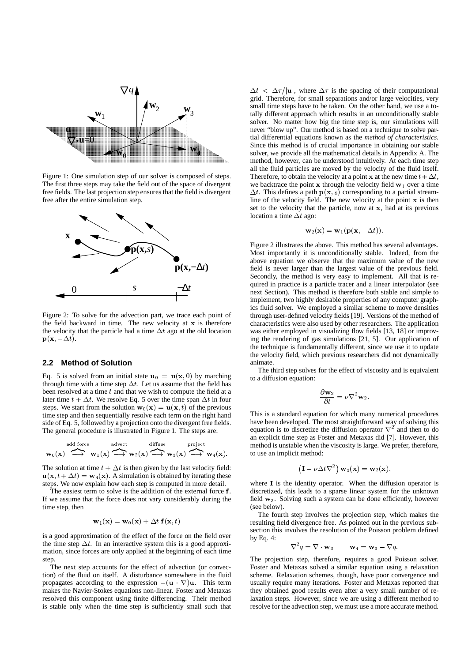

Figure 1: One simulation step of our solver is composed of steps. The first three steps may take the field out of the space of divergent free fields. The last projection step ensures that the field is divergent free after the entire simulation step.



Figure 2: To solve for the advection part, we trace each point of the field backward in time. The new velocity at  $x$  is therefore the velocity that the particle had a time  $\Delta t$  ago at the old location  ${\bf p}({\bf x}, -\Delta t).$ 

#### **2.2 Method of Solution**

Eq. 5 is solved from an initial state  $\mathbf{u}_0 = \mathbf{u}(\mathbf{x},0)$  by marching through time with a time step  $\Delta t$ . Let us assume that the field has been resolved at a time  $t$  and that we wish to compute the field at a later time  $t + \Delta t$ . We resolve Eq. 5 over the time span  $\Delta t$  in four steps. We start from the solution  $\mathbf{w}_0(\mathbf{x}) = \mathbf{u}(\mathbf{x}, t)$  of the previous time step and then sequentially resolve each term on the right hand side of Eq. 5, followed by a projection onto the divergent free fields. The general procedure is illustrated in Figure 1. The steps are:

$$
w_0(x) \stackrel{\text{add force}}{\longrightarrow} w_1(x) \stackrel{\text{advect}}{\longrightarrow} w_2(x) \stackrel{\text{diffuse}}{\longrightarrow} w_3(x) \stackrel{\text{project}}{\longrightarrow} w_4(x).
$$

The solution at time  $t + \Delta t$  is then given by the last velocity field:  $\mathbf{u}(\mathbf{x}, t + \Delta t) = \mathbf{w}_4(\mathbf{x})$ . A simulation is obtained by iterating these steps. We now explain how each step is computed in more detail.

The easiest term to solve is the addition of the external force f. If we assume that the force does not vary considerably during the time step, then

$$
\mathbf{w}_1(\mathbf{x}) = \mathbf{w}_0(\mathbf{x}) + \Delta t \mathbf{f}(\mathbf{x}, t)
$$

is a good approximation of the effect of the force on the field over the time step  $\Delta t$ . In an interactive system this is a good approximation, since forces are only applied at the beginning of each time step.

The next step accounts for the effect of advection (or convection) of the fluid on itself. A disturbance somewhere in the fluid propagates according to the expression  $-(\mathbf{u} \ \nabla) \mathbf{u}$ . This term makes the Navier-Stokes equations non-linear. Foster and Metaxas resolved this component using finite differencing. Their method is stable only when the time step is sufficiently small such that

 $\mathbf{r}$  solver, we provide all the mathematical details in Appendix A. The Since this method is of crucial importance in obtaining our stable tial differential equations known as the *method of characteristics*. never "blow up". Our method is based on a technique to solve par solver. No matter how big the time step is, our simulations will  $\Delta t < \Delta \tau / |\mathbf{u}|$ , where  $\Delta \tau$  is the spacing of their computational grid. Therefore, for small separations and/or large velocities, very small time steps have to be taken. On the other hand, we use a totally different approach which results in an unconditionally stable method, however, can be understood intuitively. At each time step all the fluid particles are moved by the velocity of the fluid itself. Therefore, to obtain the velocity at a point **x** at the new time  $t + \Delta t$ , we backtrace the point  $x$  through the velocity field  $w_1$  over a time  $\Delta t$ . This defines a path  $p(x, s)$  corresponding to a partial streamline of the velocity field. The new velocity at the point  $x$  is then set to the velocity that the particle, now at  $x$ , had at its previous location a time  $\Delta t$  ago:

$$
\mathbf{w}_2(\mathbf{x}) = \mathbf{w}_1(\mathbf{p}(\mathbf{x}, -\Delta t)).
$$

Figure 2 illustrates the above. This method has several advantages. Most importantly it is unconditionally stable. Indeed, from the above equation we observe that the maximum value of the new field is never larger than the largest value of the previous field. Secondly, the method is very easy to implement. All that is required in practice is a particle tracer and a linear interpolator (see next Section). This method is therefore both stable and simple to implement, two highly desirable properties of any computer graphics fluid solver. We employed a similar scheme to move densities through user-defined velocity fields [19]. Versions of the method of characteristics were also used by other researchers. The application was either employed in visualizing flow fields [13, 18] or improving the rendering of gas simulations [21, 5]. Our application of the technique is fundamentally different, since we use it to update the velocity field, which previous researchers did not dynamically animate.

The third step solves for the effect of viscosity and is equivalent to a diffusion equation:

$$
\frac{\partial \mathbf{w}_2}{\partial t} = \nu \nabla^2 \mathbf{w}_2.
$$

This is a standard equation for which many numerical procedures have been developed. The most straightforward way of solving this equation is to discretize the diffusion operator  $\nabla^2$  and then to do an explicit time step as Foster and Metaxas did [7]. However, this method is unstable when the viscosity is large. We prefer, therefore, to use an implicit method:

$$
(\mathbf{I} - \nu \Delta t \nabla^2) \mathbf{w}_3(\mathbf{x}) = \mathbf{w}_2(\mathbf{x}),
$$

where  $\bf{I}$  is the identity operator. When the diffusion operator is discretized, this leads to a sparse linear system for the unknown field  $w_3$ . Solving such a system can be done efficiently, however (see below).

The fourth step involves the projection step, which makes the resulting field divergence free. As pointed out in the previous subsection this involves the resolution of the Poisson problem defined by Eq. 4:

$$
\nabla^2 q = \nabla \cdot \mathbf{w}_3 \qquad \mathbf{w}_4 = \mathbf{w}_3 - \nabla q.
$$

The projection step, therefore, requires a good Poisson solver. Foster and Metaxas solved a similar equation using a relaxation scheme. Relaxation schemes, though, have poor convergence and usually require many iterations. Foster and Metaxas reported that they obtained good results even after a very small number of relaxation steps. However, since we are using a different method to resolve for the advection step, we must use a more accurate method.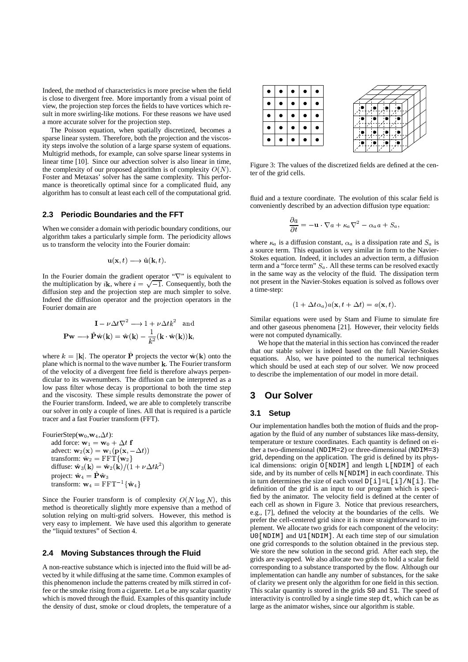Indeed, the method of characteristics is more precise when the field is close to divergent free. More importantly from a visual point of view, the projection step forces the fields to have vortices which result in more swirling-like motions. For these reasons we have used a more accurate solver for the projection step.

The Poisson equation, when spatially discretized, becomes a sparse linear system. Therefore, both the projection and the viscosity steps involve the solution of a large sparse system of equations. Multigrid methods, for example, can solve sparse linear systems in linear time [10]. Since our advection solver is also linear in time, the complexity of our proposed algorithm is of complexity  $O(N)$ . Foster and Metaxas' solver has the same complexity. This performance is theoretically optimal since for a complicated fluid, any algorithm has to consult at least each cell of the computational grid.

#### **2.3 Periodic Boundaries and the FFT**

When we consider a domain with periodic boundary conditions, our algorithm takes a particularly simple form. The periodicity allows us to transform the velocity into the Fourier domain:

$$
\mathbf{u}(\mathbf{x},t)\longrightarrow \hat{\mathbf{u}}(\mathbf{k},t).
$$

In the Fourier domain the gradient operator " $\nabla$ " is equivalent to the multiplication by *i***k**, where  $i = \sqrt{-1}$ . Consequently, both the diffusion step and the projection step are much simpler to solve. Indeed the diffusion operator and the projection operators in the Fourier domain are

$$
\mathbf{I} - \nu \Delta t \nabla^2 \longrightarrow 1 + \nu \Delta t k^2 \text{ and}
$$

$$
\mathbf{P} \mathbf{w} \longrightarrow \hat{\mathbf{P}} \hat{\mathbf{w}}(\mathbf{k}) = \hat{\mathbf{w}}(\mathbf{k}) - \frac{1}{k^2} (\mathbf{k} \cdot \hat{\mathbf{w}}(\mathbf{k})) \mathbf{k},
$$

where  $k = |\mathbf{k}|$ . The operator **P** projects the vector  $\hat{\mathbf{w}}(\mathbf{k})$  onto the plane which is normal to the wave number  $k$ . The Fourier transform of the velocity of a divergent free field is therefore always perpendicular to its wavenumbers. The diffusion can be interpreted as a low pass filter whose decay is proportional to both the time step and the viscosity. These simple results demonstrate the power of the Fourier transform. Indeed, we are able to completely transcribe our solver in only a couple of lines. All that is required is a particle tracer and a fast Fourier transform (FFT).

FourierStep( $w_0, w_4, \Delta t$ ): add force:  $\mathbf{w}_1 = \mathbf{w}_0 + \Delta t \mathbf{f}$ 

advect:  $\mathbf{w}_2(\mathbf{x}) = \mathbf{w}_1(\mathbf{p}(\mathbf{x}, -\Delta t))$ transform:  $\hat{\mathbf{w}}_2 = \text{FFT}\{\mathbf{w}_2\}$ diffuse:  $\hat{\mathbf{w}}_3(\mathbf{k}) = \hat{\mathbf{w}}_2(\mathbf{k})/(1 + \nu \Delta t k^2)$ project:  $\hat{\mathbf{w}}_4 = \hat{\mathbf{P}} \hat{\mathbf{w}}_3$ transform:  $\mathbf{w}_4 = \text{FFT}^{-1}{\hat{\mathbf{w}}_4}$ 

Since the Fourier transform is of complexity  $O(N \log N)$ , this method is theoretically slightly more expensive than a method of solution relying on multi-grid solvers. However, this method is very easy to implement. We have used this algorithm to generate the "liquid textures" of Section 4.

#### **2.4 Moving Substances through the Fluid**

A non-reactive substance which is injected into the fluid will be advected by it while diffusing at the same time. Common examples of this phenomenon include the patterns created by milk stirred in coffee or the smoke rising from a cigarette. Let  $\alpha$  be any scalar quantity which is moved through the fluid. Examples of this quantity include the density of dust, smoke or cloud droplets, the temperature of a



Figure 3: The values of the discretized fields are defined at the center of the grid cells.

fluid and a texture coordinate. The evolution of this scalar field is conveniently described by an advection diffusion type equation:

$$
\frac{\partial a}{\partial t} = -\mathbf{u} \cdot \nabla a + \kappa_a \nabla^2 - \alpha_a a + S_a,
$$

where  $\kappa_a$  is a diffusion constant,  $\alpha_a$  is a dissipation rate and  $S_a$  is a source term. This equation is very similar in form to the Navier-Stokes equation. Indeed, it includes an advection term, a diffusion term and a "force term"  $S_a$ . All these terms can be resolved exactly in the same way as the velocity of the fluid. The dissipation term not present in the Navier-Stokes equation is solved as follows over a time-step:

$$
(1 + \Delta t \alpha_a) a(\mathbf{x}, t + \Delta t) = a(\mathbf{x}, t).
$$

Similar equations were used by Stam and Fiume to simulate fire and other gaseous phenomena [21]. However, their velocity fields were not computed dynamically.

We hope that the material in this section has convinced the reader that our stable solver is indeed based on the full Navier-Stokes equations. Also, we have pointed to the numerical techniques which should be used at each step of our solver. We now proceed to describe the implementation of our model in more detail.

### **3 Our Solver**

#### **3.1 Setup**

Our implementation handles both the motion of fluids and the propagation by the fluid of any number of substances like mass-density, temperature or texture coordinates. Each quantity is defined on either a two-dimensional (NDIM=2) or three-dimensional (NDIM=3) grid, depending on the application. The grid is defined by its physical dimensions: origin O[NDIM] and length L[NDIM] of each side, and by its number of cells N[NDIM] in each coordinate. This in turn determines the size of each voxel  $D[i] = L[i]/N[i]$ . The definition of the grid is an input to our program which is specified by the animator. The velocity field is defined at the center of each cell as shown in Figure 3. Notice that previous researchers, e.g., [7], defined the velocity at the boundaries of the cells. We prefer the cell-centered grid since it is more straightforward to implement. We allocate two grids for each component of the velocity: U0[NDIM] and U1[NDIM]. At each time step of our simulation one grid corresponds to the solution obtained in the previous step. We store the new solution in the second grid. After each step, the grids are swapped. We also allocate two grids to hold a scalar field corresponding to a substance transported by the flow. Although our implementation can handle any number of substances, for the sake of clarity we present only the algorithm for one field in this section. This scalar quantity is stored in the grids S0 and S1. The speed of interactivity is controlled by a single time step dt, which can be as large as the animator wishes, since our algorithm is stable.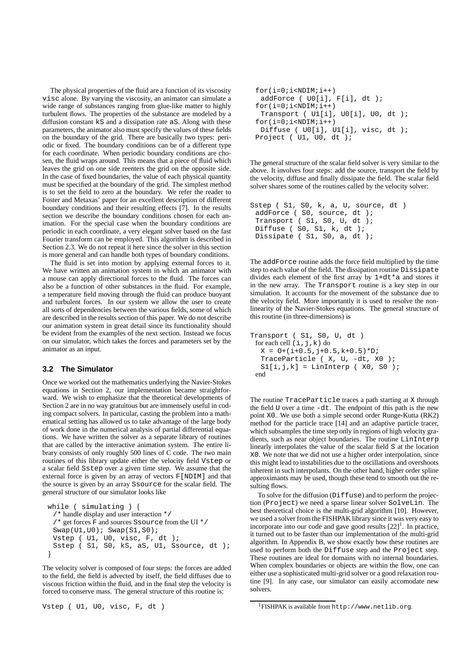The physical properties of the fluid are a function of its viscosity visc alone. By varying the viscosity, an animator can simulate a wide range of substances ranging from glue-like matter to highly turbulent flows. The properties of the substance are modeled by a diffusion constant kS and a dissipation rate aS. Along with these parameters, the animator also must specify the values of these fields on the boundary of the grid. There are basically two types: periodic or fixed. The boundary conditions can be of a different type for each coordinate. When periodic boundary conditions are chosen, the fluid wraps around. This means that a piece of fluid which leaves the grid on one side reenters the grid on the opposite side. In the case of fixed boundaries, the value of each physical quantity must be specified at the boundary of the grid. The simplest method is to set the field to zero at the boundary. We refer the reader to Foster and Metaxas' paper for an excellent description of different boundary conditions and their resulting effects [7]. In the results section we describe the boundary conditions chosen for each animation. For the special case when the boundary conditions are periodic in each coordinate, a very elegant solver based on the fast Fourier transform can be employed. This algorithm is described in Section 2.3. We do not repeat it here since the solver in this section is more general and can handle both types of boundary conditions.

The fluid is set into motion by applying external forces to it. We have written an animation system in which an animator with a mouse can apply directional forces to the fluid. The forces can also be a function of other substances in the fluid. For example, a temperature field moving through the fluid can produce buoyant and turbulent forces. In our system we allow the user to create all sorts of dependencies between the various fields, some of which are described in the results section of this paper. We do not describe our animation system in great detail since its functionality should be evident from the examples of the next section. Instead we focus on our simulator, which takes the forces and parameters set by the animator as an input.

#### **3.2 The Simulator**

Once we worked out the mathematics underlying the Navier-Stokes equations in Section 2, our implementation became straightforward. We wish to emphasize that the theoretical developments of Section 2 are in no way gratuitous but are immensely useful in coding compact solvers. In particular, casting the problem into a mathematical setting has allowed us to take advantage of the large body of work done in the numerical analysis of partial differential equations. We have written the solver as a separate library of routines that are called by the interactive animation system. The entire library consists of only roughly 500 lines of C code. The two main routines of this library update either the velocity field Vstep or a scalar field Sstep over a given time step. We assume that the external force is given by an array of vectors F[NDIM] and that the source is given by an array Ssource for the scalar field. The general structure of our simulator looks like

```
while ( simulating ) {
  /* handle display and user interaction */
  \prime* get forces F and sources Ssource from the UI */
  Swap(U1,U0); Swap(S1,S0);Vstep ( U1, U0, visc, F, dt );
  Sstep ( S1, S0, kS, aS, U1, Ssource, dt );
and the contract of the contract of the contract of the contract of the contract of the contract of the contract of
```
The velocity solver is composed of four steps: the forces are added to the field, the field is advected by itself, the field diffuses due to viscous friction within the fluid, and in the final step the velocity is forced to conserve mass. The general structure of this routine is:

```
for(i=0;i<NDIM;i++)addForce ( U0[i], F[i], dt );
for(i=0;i<NDIM;i++)Transport ( U1[i], U0[i], U0, dt );
for(i=0;i<NDIM;i++)Diffuse ( U0[i], U1[i], visc, dt );
Project ( U1, U0, dt );
```
The general structure of the scalar field solver is very similar to the above. It involves four steps: add the source, transport the field by the velocity, diffuse and finally dissipate the field. The scalar field solver shares some of the routines called by the velocity solver:

```
Sstep ( S1, S0, k, a, U, source, dt )
 addForce ( S0, source, dt );
 Transport ( S1, S0, U, dt );
 Diffuse ( S0, S1, k, dt );
 Dissipate ( S1, S0, a, dt );
```
The addForce routine adds the force field multiplied by the time step to each value of the field. The dissipation routine Dissipate divides each element of the first array by 1+dt\*a and stores it in the new array. The Transport routine is a key step in our simulation. It accounts for the movement of the substance due to the velocity field. More importantly it is used to resolve the nonlinearity of the Navier-Stokes equations. The general structure of this routine (in three-dimensions) is

```
Transport ( S1, S0, U, dt )
 for each cell (i, j, k) do
  X = 0 + (i + 0.5, j + 0.5, k + 0.5) *D;TraceParticle ( X, U, -dt, X0 );
  SI[i,j,k] = LinInterp (X0, S0);
 end
```
The routine TraceParticle traces a path starting at X through the field U over a time -dt. The endpoint of this path is the new point X0. We use both a simple second order Runge-Kutta (RK2) method for the particle trace [14] and an adaptive particle tracer, which subsamples the time step only in regions of high velocity gradients, such as near object boundaries. The routine LinInterp linearly interpolates the value of the scalar field S at the location X0. We note that we did not use a higher order interpolation, since this might lead to instabilities due to the oscillations and overshoots inherent in such interpolants. On the other hand, higher order spline approximants may be used, though these tend to smooth out the resulting flows.

To solve for the diffusion (Diffuse) and to perform the projection (Project) we need a sparse linear solver SolveLin. The best theoretical choice is the multi-grid algorithm [10]. However, we used a solver from the FISHPAK library since it was very easy to incorporate into our code and gave good results  $[22]$ <sup>1</sup>. In practice, it turned out to be faster than our implementation of the multi-grid algorithm. In Appendix B, we show exactly how these routines are used to perform both the Diffuse step and the Project step. These routines are ideal for domains with no internal boundaries. When complex boundaries or objects are within the flow, one can either use a sophisticated multi-grid solver or a good relaxation routine [9]. In any case, our simulator can easily accomodate new solvers.

Vstep ( U1, U0, visc, F, dt )

<sup>1</sup>FISHPAK is available from http://www.netlib.org.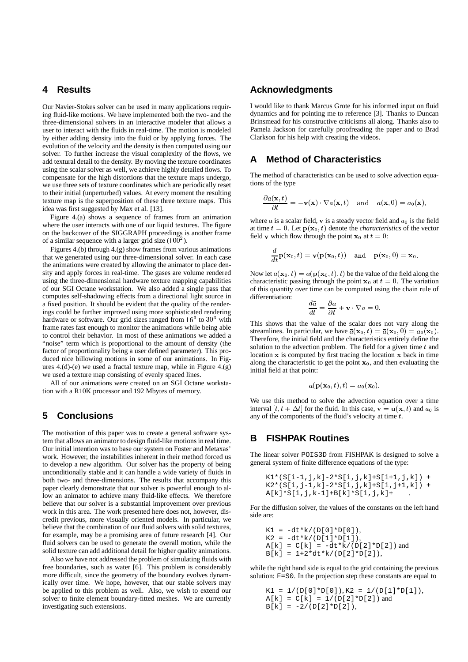### **4 Results**

Our Navier-Stokes solver can be used in many applications requiring fluid-like motions. We have implemented both the two- and the three-dimensional solvers in an interactive modeler that allows a user to interact with the fluids in real-time. The motion is modeled by either adding density into the fluid or by applying forces. The evolution of the velocity and the density is then computed using our solver. To further increase the visual complexity of the flows, we add textural detail to the density. By moving the texture coordinates using the scalar solver as well, we achieve highly detailed flows. To compensate for the high distortions that the texture maps undergo, we use three sets of texture coordinates which are periodically reset to their initial (unperturbed) values. At every moment the resulting texture map is the superposition of these three texture maps. This idea was first suggested by Max et al. [13].

Figure 4.(a) shows a sequence of frames from an animation where the user interacts with one of our liquid textures. The figure on the backcover of the SIGGRAPH proceedings is another frame of a similar sequence with a larger grid size  $(100^2)$ .

Figures 4.(b) through 4.(g) show frames from various animations that we generated using our three-dimensional solver. In each case the animations were created by allowing the animator to place density and apply forces in real-time. The gases are volume rendered using the three-dimensional hardware texture mapping capabilities of our SGI Octane workstation. We also added a single pass that computes self-shadowing effects from a directional light source in a fixed position. It should be evident that the quality of the renderings could be further improved using more sophisticated rendering hardware or software. Our grid sizes ranged from  $16<sup>3</sup>$  to  $30<sup>3</sup>$  with frame rates fast enough to monitor the animations while being able to control their behavior. In most of these animations we added a "noise" term which is proportional to the amount of density (the factor of proportionality being a user defined parameter). This produced nice billowing motions in some of our animations. In Figures 4.(d)-(e) we used a fractal texture map, while in Figure 4.(g) we used a texture map consisting of evenly spaced lines.

All of our animations were created on an SGI Octane workstation with a R10K processor and 192 Mbytes of memory.

# **5 Conclusions**

The motivation of this paper was to create a general software system that allows an animator to design fluid-like motions in real time. Our initial intention was to base our system on Foster and Metaxas' work. However, the instabilities inherent in their method forced us to develop a new algorithm. Our solver has the property of being unconditionally stable and it can handle a wide variety of fluids in both two- and three-dimensions. The results that accompany this paper clearly demonstrate that our solver is powerful enough to allow an animator to achieve many fluid-like effects. We therefore believe that our solver is a substantial improvement over previous work in this area. The work presented here does not, however, discredit previous, more visually oriented models. In particular, we believe that the combination of our fluid solvers with solid textures, for example, may be a promising area of future research [4]. Our fluid solvers can be used to generate the overall motion, while the solid texture can add additional detail for higher quality animations.

Also we have not addressed the problem of simulating fluids with free boundaries, such as water [6]. This problem is considerably more difficult, since the geometry of the boundary evolves dynamically over time. We hope, however, that our stable solvers may be applied to this problem as well. Also, we wish to extend our solver to finite element boundary-fitted meshes. We are currently investigating such extensions.

### **Acknowledgments**

I would like to thank Marcus Grote for his informed input on fluid dynamics and for pointing me to reference [3]. Thanks to Duncan Brinsmead for his constructive criticisms all along. Thanks also to Pamela Jackson for carefully proofreading the paper and to Brad Clarkson for his help with creating the videos.

# **A Method of Characteristics**

The method of characteristics can be used to solve advection equations of the type

$$
\frac{\partial a(\mathbf{x},t)}{\partial t} = -\mathbf{v}(\mathbf{x}) \cdot \nabla a(\mathbf{x},t) \quad \text{and} \quad a(\mathbf{x},0) = a_0(\mathbf{x}),
$$

where  $a$  is a scalar field,  $v$  is a steady vector field and  $a_0$  is the field at time  $t = 0$ . Let  $p(\mathbf{x}_0, t)$  denote the *characteristics* of the vector field v which flow through the point  $x_0$  at  $t = 0$ :

$$
\frac{d}{dt}\mathbf{p}(\mathbf{x}_0,t)=\mathbf{v}(\mathbf{p}(\mathbf{x}_0,t))\quad\text{and}\quad\mathbf{p}(\mathbf{x}_0,0)=\mathbf{x}_0.
$$

Now let  $\bar{a}(\mathbf{x}_0,t) = a(\mathbf{p}(\mathbf{x}_0,t),t)$  be the value of the field along the characteristic passing through the point  $x_0$  at  $t = 0$ . The variation of this quantity over time can be computed using the chain rule of differentiation:

$$
\frac{d\bar{a}}{dt} = \frac{\partial a}{\partial t} + \mathbf{v} \cdot \nabla a = 0.
$$

This shows that the value of the scalar does not vary along the streamlines. In particular, we have  $\bar{a}(\mathbf{x}_0, t) = \bar{a}(\mathbf{x}_0, 0) = a_0(\mathbf{x}_0)$ . Therefore, the initial field and the characteristics entirely define the solution to the advection problem. The field for a given time  $t$  and location  $x$  is computed by first tracing the location  $x$  back in time along the characteristic to get the point  $x_0$ , and then evaluating the initial field at that point:

$$
a(\mathbf{p}(\mathbf{x}_0,t),t)=a_0(\mathbf{x}_0).
$$

We use this method to solve the advection equation over a time interval  $[t, t + \Delta t]$  for the fluid. In this case,  $\mathbf{v} = \mathbf{u}(\mathbf{x}, t)$  and  $a_0$  is any of the components of the fluid's velocity at time  $t$ .

## **B FISHPAK Routines**

The linear solver POIS3D from FISHPAK is designed to solve a general system of finite difference equations of the type:

```
K1*(S[i-1,j,k]-2*S[i,j,k]+S[i+1,j,k]) +K2*(S[i,j-1,k]-2*S[i,j,k]+S[i,j+1,k]) +A[k] * S[i,j,k-1] + B[k] * S[i,j,k] +
```
For the diffusion solver, the values of the constants on the left hand side are:

 $K1 = -dt*k/(D[0]*D[0]),$  $K2 = -dt*k/(D[1]*D[1]),$  $A[k] = C[k] = -dt*k/(D[2]*D[2])$  and  $B[k] = 1 + 2 * dt * k / (D[2] * D[2]),$ 

while the right hand side is equal to the grid containing the previous solution: F=S0. In the projection step these constants are equal to

```
K1 = 1/(D[0]*D[0]), K2 = 1/(D[1]*D[1]),A[k] = C[k] = 1/(D[2]*D[2]) and
B[k] = -2/(D[2]*D[2]),
```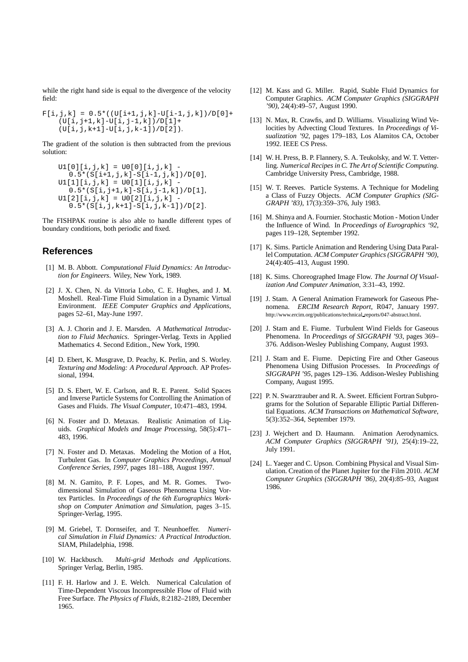while the right hand side is equal to the divergence of the velocity field:

 $F[i,j,k] = 0.5*(U[i+1,j,k]-U[i-1,j,k])/D[0]+$ (U[i,j+1,k]-U[i,j-1,k])/D[1]+ (U[i,j,k+1]-U[i,j,k-1])/D[2]).

The gradient of the solution is then subtracted from the previous solution:

$$
U1[0][i, j, k] = U0[0][i, j, k] - 0.5*(S[i+1, j, k] - S[i-1, j, k]) / D[0],
$$
  
\n
$$
U1[1][i, j, k] = U0[1][i, j, k] - 0.5*(S[i, j+1, k] - S[i, j-1, k]) / D[1],
$$
  
\n
$$
U1[2][i, j, k] = U0[2][i, j, k] - 0.5*(S[i, j, k+1] - S[i, j, k-1]) / D[2].
$$

The FISHPAK routine is also able to handle different types of boundary conditions, both periodic and fixed.

### **References**

- [1] M. B. Abbott. *Computational Fluid Dynamics: An Introduction for Engineers*. Wiley, New York, 1989.
- [2] J. X. Chen, N. da Vittoria Lobo, C. E. Hughes, and J. M. Moshell. Real-Time Fluid Simulation in a Dynamic Virtual Environment. *IEEE Computer Graphics and Applications*, pages 52–61, May-June 1997.
- [3] A. J. Chorin and J. E. Marsden. *A Mathematical Introduction to Fluid Mechanics*. Springer-Verlag. Texts in Applied Mathematics 4. Second Edition., New York, 1990.
- [4] D. Ebert, K. Musgrave, D. Peachy, K. Perlin, and S. Worley. *Texturing and Modeling: A Procedural Approach*. AP Professional, 1994.
- [5] D. S. Ebert, W. E. Carlson, and R. E. Parent. Solid Spaces and Inverse Particle Systems for Controlling the Animation of Gases and Fluids. *The Visual Computer*, 10:471–483, 1994.
- [6] N. Foster and D. Metaxas. Realistic Animation of Liquids. *Graphical Models and Image Processing*, 58(5):471– 483, 1996.
- [7] N. Foster and D. Metaxas. Modeling the Motion of a Hot, Turbulent Gas. In *Computer Graphics Proceedings, Annual Conference Series, 1997*, pages 181–188, August 1997.
- [8] M. N. Gamito, P. F. Lopes, and M. R. Gomes. Twodimensional Simulation of Gaseous Phenomena Using Vortex Particles. In *Proceedings of the 6th Eurographics Workshop on Computer Animation and Simulation*, pages 3–15. Springer-Verlag, 1995.
- [9] M. Griebel, T. Dornseifer, and T. Neunhoeffer. *Numerical Simulation in Fluid Dynamics: A Practical Introduction*. SIAM, Philadelphia, 1998.
- [10] W. Hackbusch. *Multi-grid Methods and Applications*. Springer Verlag, Berlin, 1985.
- [11] F. H. Harlow and J. E. Welch. Numerical Calculation of Time-Dependent Viscous Incompressible Flow of Fluid with Free Surface. *The Physics of Fluids*, 8:2182–2189, December 1965.
- [12] M. Kass and G. Miller. Rapid, Stable Fluid Dynamics for Computer Graphics. *ACM Computer Graphics (SIGGRAPH '90)*, 24(4):49–57, August 1990.
- [13] N. Max, R. Crawfis, and D. Williams. Visualizing Wind Velocities by Advecting Cloud Textures. In *Proceedings of Visualization '92*, pages 179–183, Los Alamitos CA, October 1992. IEEE CS Press.
- [14] W. H. Press, B. P. Flannery, S. A. Teukolsky, and W. T. Vetterling. *Numerical Recipes in C. The Art of Scientific Computing*. Cambridge University Press, Cambridge, 1988.
- [15] W. T. Reeves. Particle Systems. A Technique for Modeling a Class of Fuzzy Objects. *ACM Computer Graphics (SIG-GRAPH '83)*, 17(3):359–376, July 1983.
- [16] M. Shinya and A. Fournier. Stochastic Motion Motion Under the Influence of Wind. In *Proceedings of Eurographics '92*, pages 119–128, September 1992.
- [17] K. Sims. Particle Animation and Rendering Using Data Parallel Computation. *ACM Computer Graphics (SIGGRAPH '90)*, 24(4):405–413, August 1990.
- [18] K. Sims. Choreographed Image Flow. *The Journal Of Visualization And Computer Animation*, 3:31–43, 1992.
- [19] J. Stam. A General Animation Framework for Gaseous Phenomena. *ERCIM Research Report*, R047, January 1997. http://www.ercim.org/publications/technical reports/047-abstract.html.
- [20] J. Stam and E. Fiume. Turbulent Wind Fields for Gaseous Phenomena. In *Proceedings of SIGGRAPH '93*, pages 369– 376. Addison-Wesley Publishing Company, August 1993.
- [21] J. Stam and E. Fiume. Depicting Fire and Other Gaseous Phenomena Using Diffusion Processes. In *Proceedings of SIGGRAPH '95*, pages 129–136. Addison-Wesley Publishing Company, August 1995.
- [22] P. N. Swarztrauber and R. A. Sweet. Efficient Fortran Subprograms for the Solution of Separable Elliptic Partial Differential Equations. *ACM Transactions on Mathematical Software*, 5(3):352–364, September 1979.
- [23] J. Wejchert and D. Haumann. Animation Aerodynamics. *ACM Computer Graphics (SIGGRAPH '91)*, 25(4):19–22, July 1991.
- [24] L. Yaeger and C. Upson. Combining Physical and Visual Simulation. Creation of the Planet Jupiter for the Film 2010. *ACM Computer Graphics (SIGGRAPH '86)*, 20(4):85–93, August 1986.